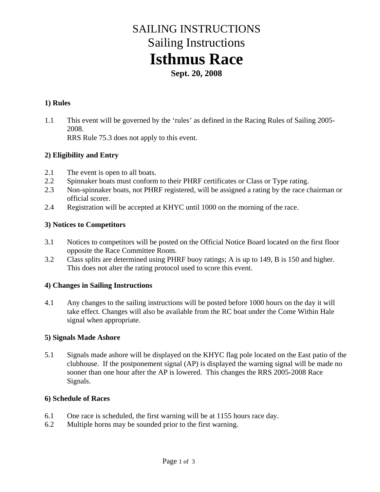# SAILING INSTRUCTIONS Sailing Instructions **Isthmus Race**

**Sept. 20, 2008**

#### **1) Rules**

1.1 This event will be governed by the 'rules' as defined in the Racing Rules of Sailing 2005- 2008.

RRS Rule 75.3 does not apply to this event.

#### **2) Eligibility and Entry**

- 2.1 The event is open to all boats.
- 2.2 Spinnaker boats must conform to their PHRF certificates or Class or Type rating.
- 2.3 Non-spinnaker boats, not PHRF registered, will be assigned a rating by the race chairman or official scorer.
- 2.4 Registration will be accepted at KHYC until 1000 on the morning of the race.

#### **3) Notices to Competitors**

- 3.1 Notices to competitors will be posted on the Official Notice Board located on the first floor opposite the Race Committee Room.
- 3.2 Class splits are determined using PHRF buoy ratings; A is up to 149, B is 150 and higher. This does not alter the rating protocol used to score this event.

#### **4) Changes in Sailing Instructions**

4.1 Any changes to the sailing instructions will be posted before 1000 hours on the day it will take effect. Changes will also be available from the RC boat under the Come Within Hale signal when appropriate.

#### **5) Signals Made Ashore**

5.1 Signals made ashore will be displayed on the KHYC flag pole located on the East patio of the clubhouse. If the postponement signal (AP) is displayed the warning signal will be made no sooner than one hour after the AP is lowered. This changes the RRS 2005-2008 Race Signals.

#### **6) Schedule of Races**

- 6.1 One race is scheduled, the first warning will be at 1155 hours race day.
- 6.2 Multiple horns may be sounded prior to the first warning.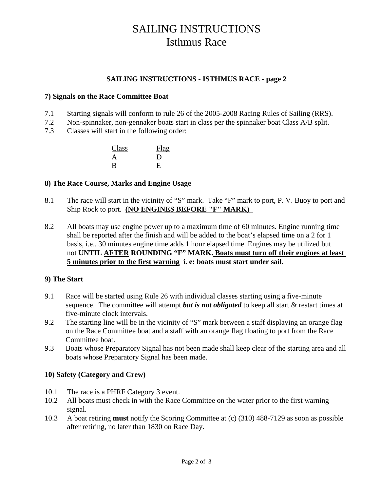## SAILING INSTRUCTIONS Isthmus Race

#### **SAILING INSTRUCTIONS - ISTHMUS RACE - page 2**

#### **7) Signals on the Race Committee Boat**

- 7.1 Starting signals will conform to rule 26 of the 2005-2008 Racing Rules of Sailing (RRS).
- 7.2 Non-spinnaker, non-gennaker boats start in class per the spinnaker boat Class A/B split.
- 7.3 Classes will start in the following order:

| Class | Flag |
|-------|------|
| A     | Ð    |
| B     | E    |

#### **8) The Race Course, Marks and Engine Usage**

- 8.1 The race will start in the vicinity of "S" mark. Take "F" mark to port, P. V. Buoy to port and Ship Rock to port. **(NO ENGINES BEFORE "F" MARK)**
- 8.2 All boats may use engine power up to a maximum time of 60 minutes. Engine running time shall be reported after the finish and will be added to the boat's elapsed time on a 2 for 1 basis, i.e., 30 minutes engine time adds 1 hour elapsed time. Engines may be utilized but not **UNTIL AFTER ROUNDING "F" MARK. Boats must turn off their engines at least 5 minutes prior to the first warning i. e: boats must start under sail.**

#### **9) The Start**

- 9.1 Race will be started using Rule 26 with individual classes starting using a five-minute sequence. The committee will attempt *but is not obligated* to keep all start & restart times at five-minute clock intervals.
- 9.2 The starting line will be in the vicinity of "S" mark between a staff displaying an orange flag on the Race Committee boat and a staff with an orange flag floating to port from the Race Committee boat.
- 9.3 Boats whose Preparatory Signal has not been made shall keep clear of the starting area and all boats whose Preparatory Signal has been made.

#### **10) Safety (Category and Crew)**

- 10.1 The race is a PHRF Category 3 event.
- 10.2 All boats must check in with the Race Committee on the water prior to the first warning signal.
- 10.3 A boat retiring **must** notify the Scoring Committee at (c) (310) 488-7129 as soon as possible after retiring, no later than 1830 on Race Day.